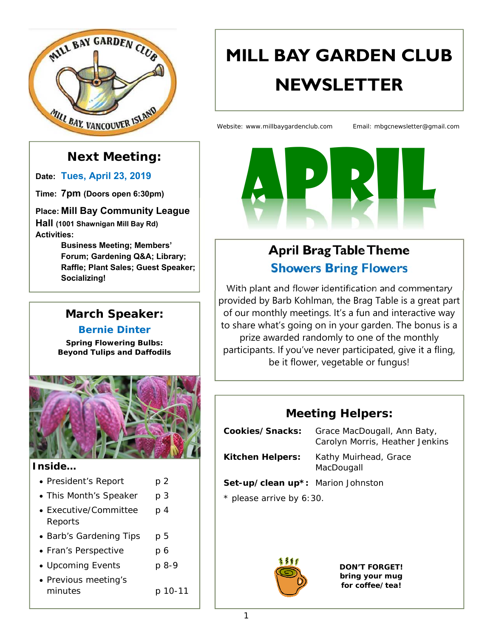

### **Next Meeting:**

**Date: Tues, April 23, 2019**

**Time: 7pm (Doors open 6:30pm)** 

**Place: Mill Bay Community League Hall (1001 Shawnigan Mill Bay Rd)** 

**Activities:** 

**Business Meeting; Members' Forum; Gardening Q&A; Library; Raffle; Plant Sales; Guest Speaker; Socializing!**

# **March Speaker:**

#### **Bernie Dinter**

*Spring Flowering Bulbs: Beyond Tulips and Daffodils* 



#### **Inside…**

- President's Report p 2
- This Month's Speaker p 3
- Executive/Committee p 4 Reports
- Barb's Gardening Tips p 5
- Fran's Perspective p 6
- Upcoming Events p 8-9
- Previous meeting's minutes p 10-11

# **MILL BAY GARDEN CLUB NEWSLETTER**

Website: www.millbaygardenclub.com Email: mbgcnewsletter@gmail.com



# **April Brag Table Theme Showers Bring Flowers**

With plant and flower identification and commentary provided by Barb Kohlman, the Brag Table is a great part of our monthly meetings. It's a fun and interactive way to share what's going on in your garden. The bonus is a prize awarded randomly to one of the monthly participants. If you've never participated, give it a fling, be it flower, vegetable or fungus!

### **Meeting Helpers:**

| Cookies/Snacks:                   | Grace MacDougall, Ann Baty,<br>Carolyn Morris, Heather Jenkins |
|-----------------------------------|----------------------------------------------------------------|
| <b>Kitchen Helpers:</b>           | Kathy Muirhead, Grace<br>MacDougall                            |
| Set-up/clean up*: Marion Johnston |                                                                |
| * please arrive by 6:30.          |                                                                |
|                                   |                                                                |



*DON'T FORGET! bring your mug for coffee/tea!*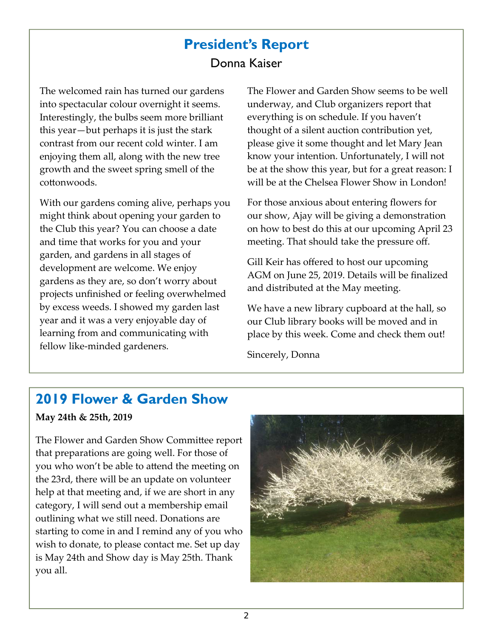# **President's Report**  Donna Kaiser

The welcomed rain has turned our gardens into spectacular colour overnight it seems. Interestingly, the bulbs seem more brilliant this year—but perhaps it is just the stark contrast from our recent cold winter. I am enjoying them all, along with the new tree growth and the sweet spring smell of the cottonwoods.

With our gardens coming alive, perhaps you might think about opening your garden to the Club this year? You can choose a date and time that works for you and your garden, and gardens in all stages of development are welcome. We enjoy gardens as they are, so don't worry about projects unfinished or feeling overwhelmed by excess weeds. I showed my garden last year and it was a very enjoyable day of learning from and communicating with fellow like‐minded gardeners.

The Flower and Garden Show seems to be well underway, and Club organizers report that everything is on schedule. If you haven't thought of a silent auction contribution yet, please give it some thought and let Mary Jean know your intention. Unfortunately, I will not be at the show this year, but for a great reason: I will be at the Chelsea Flower Show in London!

For those anxious about entering flowers for our show, Ajay will be giving a demonstration on how to best do this at our upcoming April 23 meeting. That should take the pressure off.

Gill Keir has offered to host our upcoming AGM on June 25, 2019. Details will be finalized and distributed at the May meeting.

We have a new library cupboard at the hall, so our Club library books will be moved and in place by this week. Come and check them out!

Sincerely, Donna

### **2019 Flower & Garden Show**

#### **May 24th & 25th, 2019**

The Flower and Garden Show Committee report that preparations are going well. For those of you who won't be able to attend the meeting on the 23rd, there will be an update on volunteer help at that meeting and, if we are short in any category, I will send out a membership email outlining what we still need. Donations are starting to come in and I remind any of you who wish to donate, to please contact me. Set up day is May 24th and Show day is May 25th. Thank you all.

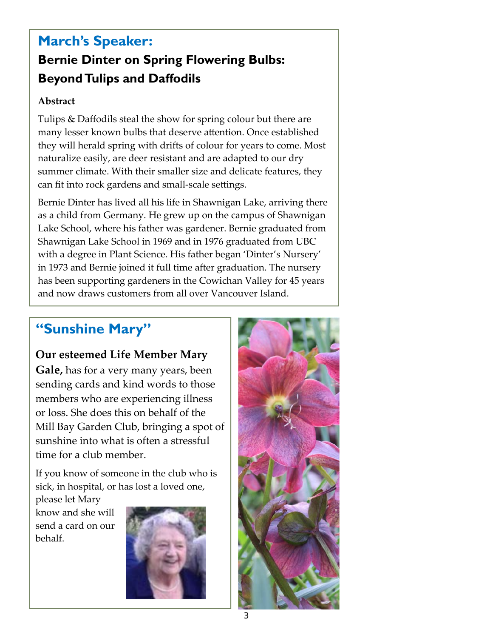# **March's Speaker: Bernie Dinter on Spring Flowering Bulbs: Beyond Tulips and Daffodils**

#### **Abstract**

Tulips & Daffodils steal the show for spring colour but there are many lesser known bulbs that deserve attention. Once established they will herald spring with drifts of colour for years to come. Most naturalize easily, are deer resistant and are adapted to our dry summer climate. With their smaller size and delicate features, they can fit into rock gardens and small‐scale settings.

Bernie Dinter has lived all his life in Shawnigan Lake, arriving there as a child from Germany. He grew up on the campus of Shawnigan Lake School, where his father was gardener. Bernie graduated from Shawnigan Lake School in 1969 and in 1976 graduated from UBC with a degree in Plant Science. His father began 'Dinter's Nursery' in 1973 and Bernie joined it full time after graduation. The nursery has been supporting gardeners in the Cowichan Valley for 45 years and now draws customers from all over Vancouver Island.

### **"Sunshine Mary"**

#### **Our esteemed Life Member Mary**

**Gale,** has for a very many years, been sending cards and kind words to those members who are experiencing illness or loss. She does this on behalf of the Mill Bay Garden Club, bringing a spot of sunshine into what is often a stressful time for a club member.

If you know of someone in the club who is sick, in hospital, or has lost a loved one,

please let Mary know and she will send a card on our behalf.



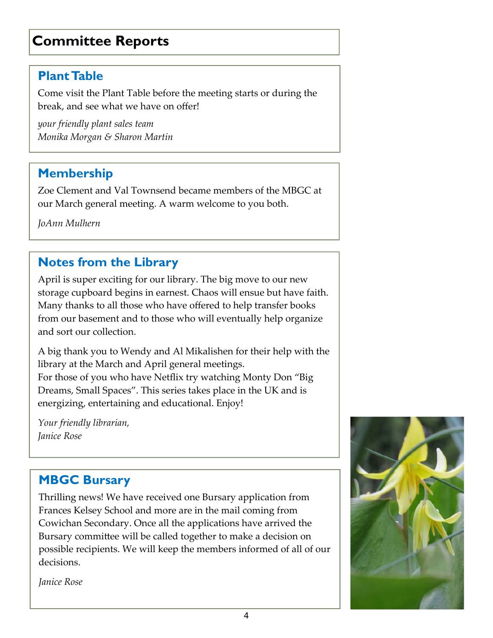# **Committee Reports**

### **Plant Table**

Come visit the Plant Table before the meeting starts or during the break, and see what we have on offer!

*your friendly plant sales team Monika Morgan & Sharon Martin*

### **Membership**

Zoe Clement and Val Townsend became members of the MBGC at our March general meeting. A warm welcome to you both.

*JoAnn Mulhern*

### **Notes from the Library**

April is super exciting for our library. The big move to our new storage cupboard begins in earnest. Chaos will ensue but have faith. Many thanks to all those who have offered to help transfer books from our basement and to those who will eventually help organize and sort our collection.

A big thank you to Wendy and Al Mikalishen for their help with the library at the March and April general meetings.

For those of you who have Netflix try watching Monty Don "Big Dreams, Small Spaces". This series takes place in the UK and is energizing, entertaining and educational. Enjoy!

*Your friendly librarian, Janice Rose*

### **MBGC Bursary**

Thrilling news! We have received one Bursary application from Frances Kelsey School and more are in the mail coming from Cowichan Secondary. Once all the applications have arrived the Bursary committee will be called together to make a decision on possible recipients. We will keep the members informed of all of our decisions.

*Janice Rose*

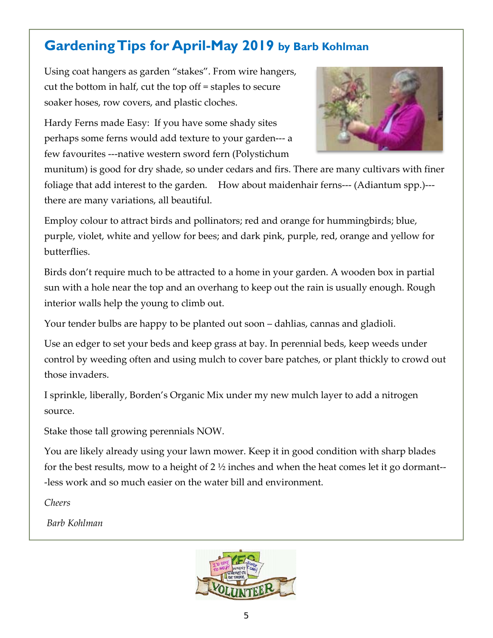# **Gardening Tips for April-May 2019 by Barb Kohlman**

Using coat hangers as garden "stakes". From wire hangers, cut the bottom in half, cut the top off = staples to secure soaker hoses, row covers, and plastic cloches.

Hardy Ferns made Easy: If you have some shady sites perhaps some ferns would add texture to your garden‐‐‐ a few favourites ‐‐‐native western sword fern (Polystichum



munitum) is good for dry shade, so under cedars and firs. There are many cultivars with finer foliage that add interest to the garden. How about maidenhair ferns— (Adiantum spp.) there are many variations, all beautiful.

Employ colour to attract birds and pollinators; red and orange for hummingbirds; blue, purple, violet, white and yellow for bees; and dark pink, purple, red, orange and yellow for butterflies.

Birds don't require much to be attracted to a home in your garden. A wooden box in partial sun with a hole near the top and an overhang to keep out the rain is usually enough. Rough interior walls help the young to climb out.

Your tender bulbs are happy to be planted out soon – dahlias, cannas and gladioli.

Use an edger to set your beds and keep grass at bay. In perennial beds, keep weeds under control by weeding often and using mulch to cover bare patches, or plant thickly to crowd out those invaders.

I sprinkle, liberally, Borden's Organic Mix under my new mulch layer to add a nitrogen source.

Stake those tall growing perennials NOW.

You are likely already using your lawn mower. Keep it in good condition with sharp blades for the best results, mow to a height of  $2\frac{1}{2}$  inches and when the heat comes let it go dormant--‐less work and so much easier on the water bill and environment.

*Cheers*

*Barb Kohlman*

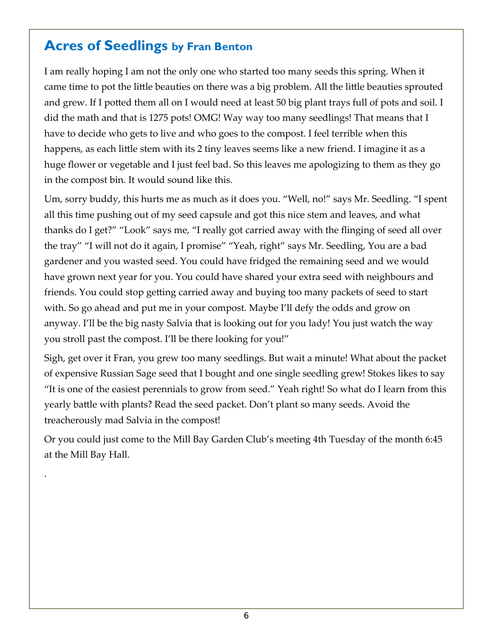### **Acres of Seedlings by Fran Benton**

.

I am really hoping I am not the only one who started too many seeds this spring. When it came time to pot the little beauties on there was a big problem. All the little beauties sprouted and grew. If I potted them all on I would need at least 50 big plant trays full of pots and soil. I did the math and that is 1275 pots! OMG! Way way too many seedlings! That means that I have to decide who gets to live and who goes to the compost. I feel terrible when this happens, as each little stem with its 2 tiny leaves seems like a new friend. I imagine it as a huge flower or vegetable and I just feel bad. So this leaves me apologizing to them as they go in the compost bin. It would sound like this.

Um, sorry buddy, this hurts me as much as it does you. "Well, no!" says Mr. Seedling. "I spent all this time pushing out of my seed capsule and got this nice stem and leaves, and what thanks do I get?" "Look" says me, "I really got carried away with the flinging of seed all over the tray" "I will not do it again, I promise" "Yeah, right" says Mr. Seedling, You are a bad gardener and you wasted seed. You could have fridged the remaining seed and we would have grown next year for you. You could have shared your extra seed with neighbours and friends. You could stop getting carried away and buying too many packets of seed to start with. So go ahead and put me in your compost. Maybe I'll defy the odds and grow on anyway. I'll be the big nasty Salvia that is looking out for you lady! You just watch the way you stroll past the compost. I'll be there looking for you!"

Sigh, get over it Fran, you grew too many seedlings. But wait a minute! What about the packet of expensive Russian Sage seed that I bought and one single seedling grew! Stokes likes to say "It is one of the easiest perennials to grow from seed." Yeah right! So what do I learn from this yearly battle with plants? Read the seed packet. Don't plant so many seeds. Avoid the treacherously mad Salvia in the compost!

Or you could just come to the Mill Bay Garden Club's meeting 4th Tuesday of the month 6:45 at the Mill Bay Hall.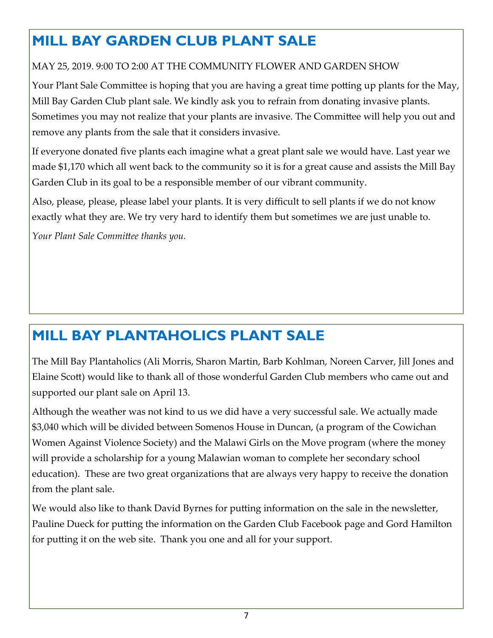# **MILL BAY GARDEN CLUB PLANT SALE**

#### MAY 25, 2019. 9:00 TO 2:00 AT THE COMMUNITY FLOWER AND GARDEN SHOW

Your Plant Sale Committee is hoping that you are having a great time potting up plants for the May, Mill Bay Garden Club plant sale. We kindly ask you to refrain from donating invasive plants. Sometimes you may not realize that your plants are invasive. The Committee will help you out and remove any plants from the sale that it considers invasive.

If everyone donated five plants each imagine what a great plant sale we would have. Last year we made \$1,170 which all went back to the community so it is for a great cause and assists the Mill Bay Garden Club in its goal to be a responsible member of our vibrant community.

Also, please, please, please label your plants. It is very difficult to sell plants if we do not know exactly what they are. We try very hard to identify them but sometimes we are just unable to.

*Your Plant Sale Committee thanks you.* 

# **MILL BAY PLANTAHOLICS PLANT SALE**

The Mill Bay Plantaholics (Ali Morris, Sharon Martin, Barb Kohlman, Noreen Carver, Jill Jones and Elaine Scott) would like to thank all of those wonderful Garden Club members who came out and supported our plant sale on April 13.

Although the weather was not kind to us we did have a very successful sale. We actually made \$3,040 which will be divided between Somenos House in Duncan, (a program of the Cowichan Women Against Violence Society) and the Malawi Girls on the Move program (where the money will provide a scholarship for a young Malawian woman to complete her secondary school education). These are two great organizations that are always very happy to receive the donation from the plant sale.

We would also like to thank David Byrnes for putting information on the sale in the newsletter, Pauline Dueck for putting the information on the Garden Club Facebook page and Gord Hamilton for putting it on the web site. Thank you one and all for your support.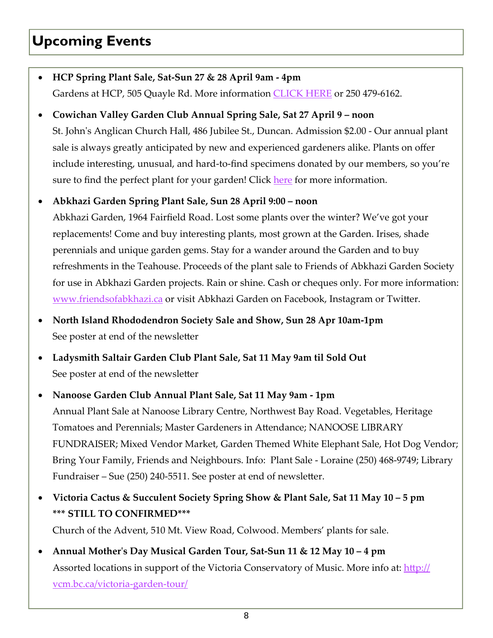# **Upcoming Events**

- **HCP Spring Plant Sale, Sat‐Sun 27 & 28 April 9am ‐ 4pm**  Gardens at HCP, 505 Quayle Rd. More information CLICK HERE or 250 479‐6162.
- **Cowichan Valley Garden Club Annual Spring Sale, Sat 27 April 9 noon**  St. John's Anglican Church Hall, 486 Jubilee St., Duncan. Admission \$2.00 - Our annual plant sale is always greatly anticipated by new and experienced gardeners alike. Plants on offer include interesting, unusual, and hard-to-find specimens donated by our members, so you're sure to find the perfect plant for your garden! Click here for more information.

#### **Abkhazi Garden Spring Plant Sale, Sun 28 April 9:00 – noon**

Abkhazi Garden, 1964 Fairfield Road. Lost some plants over the winter? We've got your replacements! Come and buy interesting plants, most grown at the Garden. Irises, shade perennials and unique garden gems. Stay for a wander around the Garden and to buy refreshments in the Teahouse. Proceeds of the plant sale to Friends of Abkhazi Garden Society for use in Abkhazi Garden projects. Rain or shine. Cash or cheques only. For more information: www.friendsofabkhazi.ca or visit Abkhazi Garden on Facebook, Instagram or Twitter.

- **North Island Rhododendron Society Sale and Show, Sun 28 Apr 10am‐1pm** See poster at end of the newsletter
- **Ladysmith Saltair Garden Club Plant Sale, Sat 11 May 9am til Sold Out** See poster at end of the newsletter
- **Nanoose Garden Club Annual Plant Sale, Sat 11 May 9am ‐ 1pm** Annual Plant Sale at Nanoose Library Centre, Northwest Bay Road. Vegetables, Heritage Tomatoes and Perennials; Master Gardeners in Attendance; NANOOSE LIBRARY FUNDRAISER; Mixed Vendor Market, Garden Themed White Elephant Sale, Hot Dog Vendor; Bring Your Family, Friends and Neighbours. Info: Plant Sale ‐ Loraine (250) 468‐9749; Library Fundraiser – Sue (250) 240‐5511. See poster at end of newsletter.
- **Victoria Cactus & Succulent Society Spring Show & Plant Sale, Sat 11 May 10 5 pm \*\*\* STILL TO CONFIRMED\*\*\***  Church of the Advent, 510 Mt. View Road, Colwood. Members' plants for sale.
- **Annual Motherʹs Day Musical Garden Tour, Sat‐Sun 11 & 12 May 10 4 pm** Assorted locations in support of the Victoria Conservatory of Music. More info at: http:// vcm.bc.ca/victoria‐garden‐tour/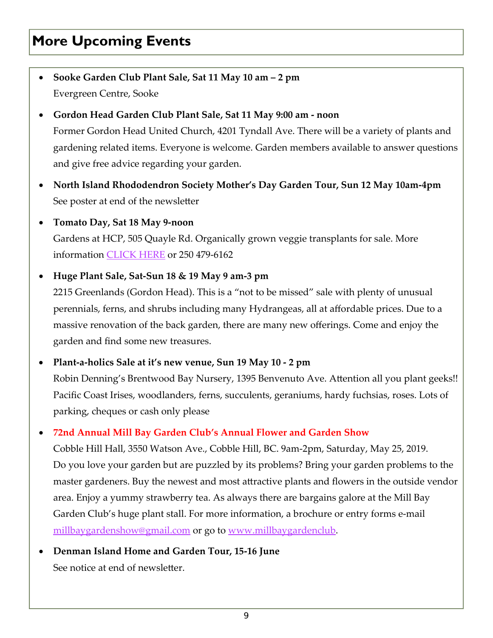# **More Upcoming Events**

- **Sooke Garden Club Plant Sale, Sat 11 May 10 am 2 pm** Evergreen Centre, Sooke
- **Gordon Head Garden Club Plant Sale, Sat 11 May 9:00 am ‐ noon**  Former Gordon Head United Church, 4201 Tyndall Ave. There will be a variety of plants and gardening related items. Everyone is welcome. Garden members available to answer questions and give free advice regarding your garden.
- **North Island Rhododendron Society Mother's Day Garden Tour, Sun 12 May 10am‐4pm** See poster at end of the newsletter
- **Tomato Day, Sat 18 May 9‐noon**

Gardens at HCP, 505 Quayle Rd. Organically grown veggie transplants for sale. More information CLICK HERE or 250 479‐6162

**Huge Plant Sale, Sat‐Sun 18 & 19 May 9 am‐3 pm** 

2215 Greenlands (Gordon Head). This is a "not to be missed" sale with plenty of unusual perennials, ferns, and shrubs including many Hydrangeas, all at affordable prices. Due to a massive renovation of the back garden, there are many new offerings. Come and enjoy the garden and find some new treasures.

**Plant‐a‐holics Sale at it's new venue, Sun 19 May 10 ‐ 2 pm** 

Robin Denning's Brentwood Bay Nursery, 1395 Benvenuto Ave. Attention all you plant geeks!! Pacific Coast Irises, woodlanders, ferns, succulents, geraniums, hardy fuchsias, roses. Lots of parking, cheques or cash only please

#### **72nd Annual Mill Bay Garden Club's Annual Flower and Garden Show**

Cobble Hill Hall, 3550 Watson Ave., Cobble Hill, BC. 9am‐2pm, Saturday, May 25, 2019. Do you love your garden but are puzzled by its problems? Bring your garden problems to the master gardeners. Buy the newest and most attractive plants and flowers in the outside vendor area. Enjoy a yummy strawberry tea. As always there are bargains galore at the Mill Bay Garden Club's huge plant stall. For more information, a brochure or entry forms e-mail millbaygardenshow@gmail.com or go to www.millbaygardenclub.

 **Denman Island Home and Garden Tour, 15‐16 June**  See notice at end of newsletter.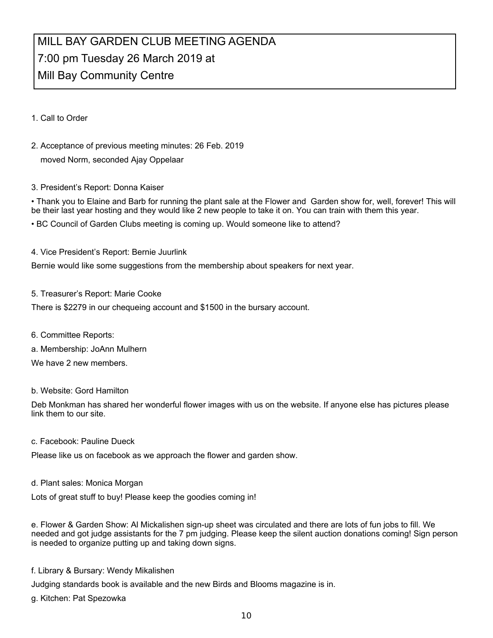### MILL BAY GARDEN CLUB MEETING AGENDA 7:00 pm Tuesday 26 March 2019 at Mill Bay Community Centre

1. Call to Order

2. Acceptance of previous meeting minutes: 26 Feb. 2019 moved Norm, seconded Ajay Oppelaar

#### 3. President's Report: Donna Kaiser

• Thank you to Elaine and Barb for running the plant sale at the Flower and Garden show for, well, forever! This will be their last year hosting and they would like 2 new people to take it on. You can train with them this year.

• BC Council of Garden Clubs meeting is coming up. Would someone like to attend?

#### 4. Vice President's Report: Bernie Juurlink

Bernie would like some suggestions from the membership about speakers for next year.

5. Treasurer's Report: Marie Cooke

There is \$2279 in our chequeing account and \$1500 in the bursary account.

- 6. Committee Reports:
- a. Membership: JoAnn Mulhern

We have 2 new members.

#### b. Website: Gord Hamilton

Deb Monkman has shared her wonderful flower images with us on the website. If anyone else has pictures please link them to our site.

c. Facebook: Pauline Dueck

Please like us on facebook as we approach the flower and garden show.

d. Plant sales: Monica Morgan

Lots of great stuff to buy! Please keep the goodies coming in!

e. Flower & Garden Show: Al Mickalishen sign-up sheet was circulated and there are lots of fun jobs to fill. We needed and got judge assistants for the 7 pm judging. Please keep the silent auction donations coming! Sign person is needed to organize putting up and taking down signs.

f. Library & Bursary: Wendy Mikalishen

Judging standards book is available and the new Birds and Blooms magazine is in.

g. Kitchen: Pat Spezowka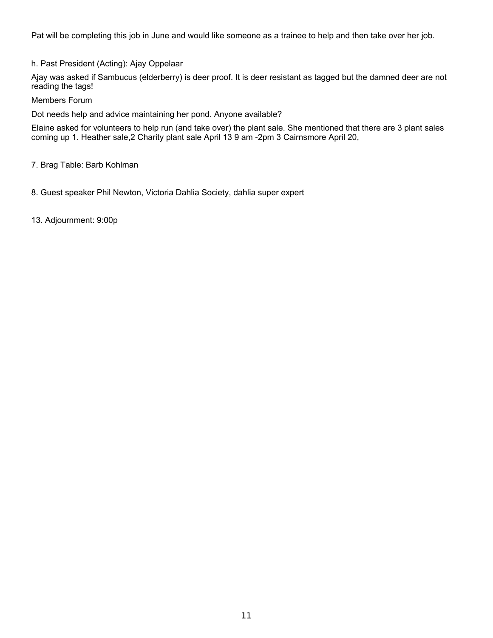Pat will be completing this job in June and would like someone as a trainee to help and then take over her job.

h. Past President (Acting): Ajay Oppelaar

Ajay was asked if Sambucus (elderberry) is deer proof. It is deer resistant as tagged but the damned deer are not reading the tags!

Members Forum

Dot needs help and advice maintaining her pond. Anyone available?

Elaine asked for volunteers to help run (and take over) the plant sale. She mentioned that there are 3 plant sales coming up 1. Heather sale,2 Charity plant sale April 13 9 am -2pm 3 Cairnsmore April 20,

7. Brag Table: Barb Kohlman

8. Guest speaker Phil Newton, Victoria Dahlia Society, dahlia super expert

13. Adjournment: 9:00p